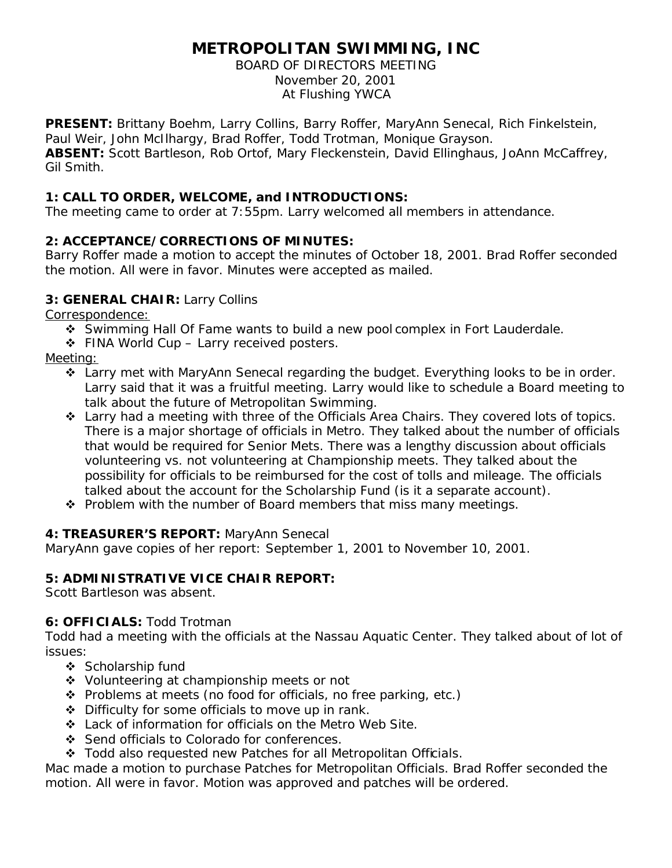# **METROPOLITAN SWIMMING, INC**

BOARD OF DIRECTORS MEETING November 20, 2001 At Flushing YWCA

**PRESENT:** Brittany Boehm, Larry Collins, Barry Roffer, MaryAnn Senecal, Rich Finkelstein, Paul Weir, John McIlhargy, Brad Roffer, Todd Trotman, Monique Grayson.

**ABSENT:** Scott Bartleson, Rob Ortof, Mary Fleckenstein, David Ellinghaus, JoAnn McCaffrey, Gil Smith.

# **1: CALL TO ORDER, WELCOME, and INTRODUCTIONS:**

The meeting came to order at 7:55pm. Larry welcomed all members in attendance.

# **2: ACCEPTANCE/CORRECTIONS OF MINUTES:**

Barry Roffer made a motion to accept the minutes of October 18, 2001. Brad Roffer seconded the motion. All were in favor. Minutes were accepted as mailed.

## **3: GENERAL CHAIR:** Larry Collins

Correspondence:

- v Swimming Hall Of Fame wants to build a new pool complex in Fort Lauderdale.
- ❖ FINA World Cup Larry received posters.

#### Meeting:

- \* Larry met with MaryAnn Senecal regarding the budget. Everything looks to be in order. Larry said that it was a fruitful meeting. Larry would like to schedule a Board meeting to talk about the future of Metropolitan Swimming.
- $\cdot$  Larry had a meeting with three of the Officials Area Chairs. They covered lots of topics. There is a major shortage of officials in Metro. They talked about the number of officials that would be required for Senior Mets. There was a lengthy discussion about officials volunteering vs. not volunteering at Championship meets. They talked about the possibility for officials to be reimbursed for the cost of tolls and mileage. The officials talked about the account for the Scholarship Fund (is it a separate account).
- $\div$  Problem with the number of Board members that miss many meetings.

## **4: TREASURER'S REPORT:** MaryAnn Senecal

MaryAnn gave copies of her report: September 1, 2001 to November 10, 2001.

## **5: ADMINISTRATIVE VICE CHAIR REPORT:**

Scott Bartleson was absent.

## **6: OFFICIALS:** Todd Trotman

Todd had a meeting with the officials at the Nassau Aquatic Center. They talked about of lot of issues:

- v Scholarship fund
- ◆ Volunteering at championship meets or not
- $\div$  Problems at meets (no food for officials, no free parking, etc.)
- $\triangle$  Difficulty for some officials to move up in rank.
- v Lack of information for officials on the Metro Web Site.
- v Send officials to Colorado for conferences.
- v Todd also requested new Patches for all Metropolitan Officials.

Mac made a motion to purchase Patches for Metropolitan Officials. Brad Roffer seconded the motion. All were in favor. Motion was approved and patches will be ordered.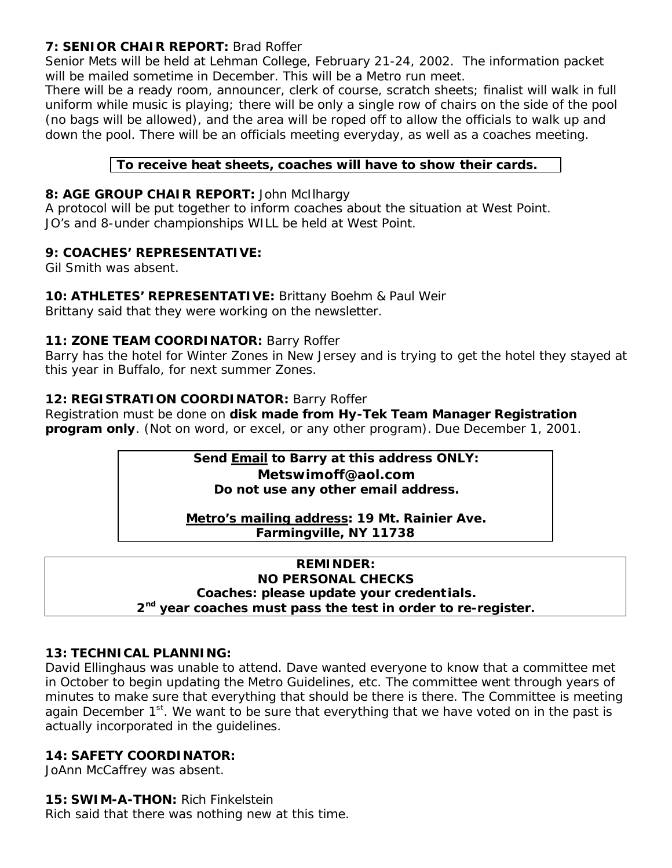# **7: SENIOR CHAIR REPORT:** Brad Roffer

Senior Mets will be held at Lehman College, February 21-24, 2002. The information packet will be mailed sometime in December. This will be a Metro run meet.

There will be a ready room, announcer, clerk of course, scratch sheets; finalist will walk in full uniform while music is playing; there will be only a single row of chairs on the side of the pool (no bags will be allowed), and the area will be roped off to allow the officials to walk up and down the pool. There will be an officials meeting everyday, as well as a coaches meeting.

# **To receive heat sheets, coaches will have to show their cards.**

# **8: AGE GROUP CHAIR REPORT:** John McIlhargy

A protocol will be put together to inform coaches about the situation at West Point. JO's and 8-under championships WILL be held at West Point.

## **9: COACHES' REPRESENTATIVE:**

Gil Smith was absent.

# **10: ATHLETES' REPRESENTATIVE:** Brittany Boehm & Paul Weir

Brittany said that they were working on the newsletter.

## **11: ZONE TEAM COORDINATOR:** Barry Roffer

Barry has the hotel for Winter Zones in New Jersey and is trying to get the hotel they stayed at this year in Buffalo, for next summer Zones.

# **12: REGISTRATION COORDINATOR:** Barry Roffer

Registration must be done on **disk made from Hy-Tek Team Manager Registration program only**. (Not on word, or excel, or any other program). Due December 1, 2001.

# **Send Email to Barry at this address ONLY: Metswimoff@aol.com Do not use any other email address.**

**Metro's mailing address: 19 Mt. Rainier Ave. Farmingville, NY 11738**

#### **REMINDER: NO PERSONAL CHECKS Coaches: please update your credent ials. 2 nd year coaches must pass the test in order to re-register.**

# **13: TECHNICAL PLANNING:**

David Ellinghaus was unable to attend. Dave wanted everyone to know that a committee met in October to begin updating the Metro Guidelines, etc. The committee went through years of minutes to make sure that everything that should be there is there. The Committee is meeting again December  $1<sup>st</sup>$ . We want to be sure that everything that we have voted on in the past is actually incorporated in the guidelines.

## **14: SAFETY COORDINATOR:**

JoAnn McCaffrey was absent.

## **15: SWIM-A-THON:** Rich Finkelstein

Rich said that there was nothing new at this time.